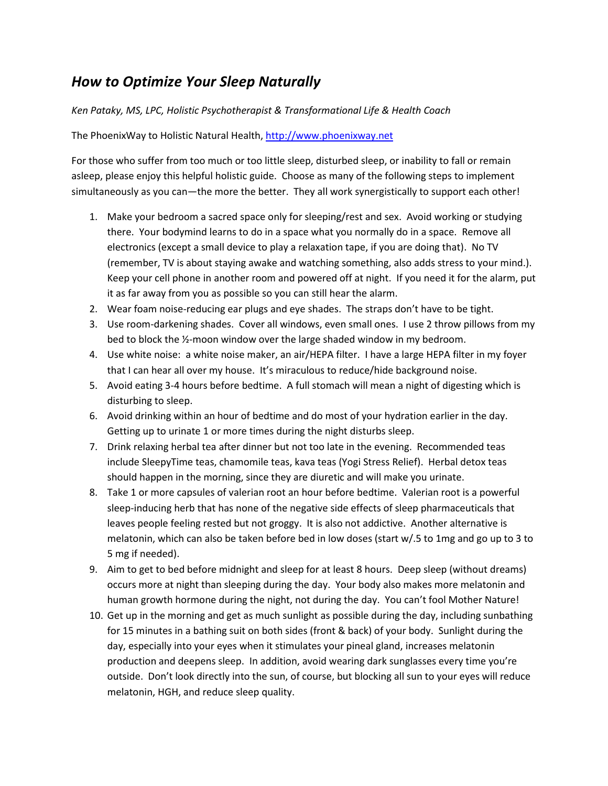## *How to Optimize Your Sleep Naturally*

## *Ken Pataky, MS, LPC, Holistic Psychotherapist & Transformational Life & Health Coach*

The PhoenixWay to Holistic Natural Health, [http://www.phoenixway.net](http://www.phoenixway.net/)

For those who suffer from too much or too little sleep, disturbed sleep, or inability to fall or remain asleep, please enjoy this helpful holistic guide. Choose as many of the following steps to implement simultaneously as you can—the more the better. They all work synergistically to support each other!

- 1. Make your bedroom a sacred space only for sleeping/rest and sex. Avoid working or studying there. Your bodymind learns to do in a space what you normally do in a space. Remove all electronics (except a small device to play a relaxation tape, if you are doing that). No TV (remember, TV is about staying awake and watching something, also adds stress to your mind.). Keep your cell phone in another room and powered off at night. If you need it for the alarm, put it as far away from you as possible so you can still hear the alarm.
- 2. Wear foam noise-reducing ear plugs and eye shades. The straps don't have to be tight.
- 3. Use room-darkening shades. Cover all windows, even small ones. I use 2 throw pillows from my bed to block the ½-moon window over the large shaded window in my bedroom.
- 4. Use white noise: a white noise maker, an air/HEPA filter. I have a large HEPA filter in my foyer that I can hear all over my house. It's miraculous to reduce/hide background noise.
- 5. Avoid eating 3-4 hours before bedtime. A full stomach will mean a night of digesting which is disturbing to sleep.
- 6. Avoid drinking within an hour of bedtime and do most of your hydration earlier in the day. Getting up to urinate 1 or more times during the night disturbs sleep.
- 7. Drink relaxing herbal tea after dinner but not too late in the evening. Recommended teas include SleepyTime teas, chamomile teas, kava teas (Yogi Stress Relief). Herbal detox teas should happen in the morning, since they are diuretic and will make you urinate.
- 8. Take 1 or more capsules of valerian root an hour before bedtime. Valerian root is a powerful sleep-inducing herb that has none of the negative side effects of sleep pharmaceuticals that leaves people feeling rested but not groggy. It is also not addictive. Another alternative is melatonin, which can also be taken before bed in low doses (start w/.5 to 1mg and go up to 3 to 5 mg if needed).
- 9. Aim to get to bed before midnight and sleep for at least 8 hours. Deep sleep (without dreams) occurs more at night than sleeping during the day. Your body also makes more melatonin and human growth hormone during the night, not during the day. You can't fool Mother Nature!
- 10. Get up in the morning and get as much sunlight as possible during the day, including sunbathing for 15 minutes in a bathing suit on both sides (front & back) of your body. Sunlight during the day, especially into your eyes when it stimulates your pineal gland, increases melatonin production and deepens sleep. In addition, avoid wearing dark sunglasses every time you're outside. Don't look directly into the sun, of course, but blocking all sun to your eyes will reduce melatonin, HGH, and reduce sleep quality.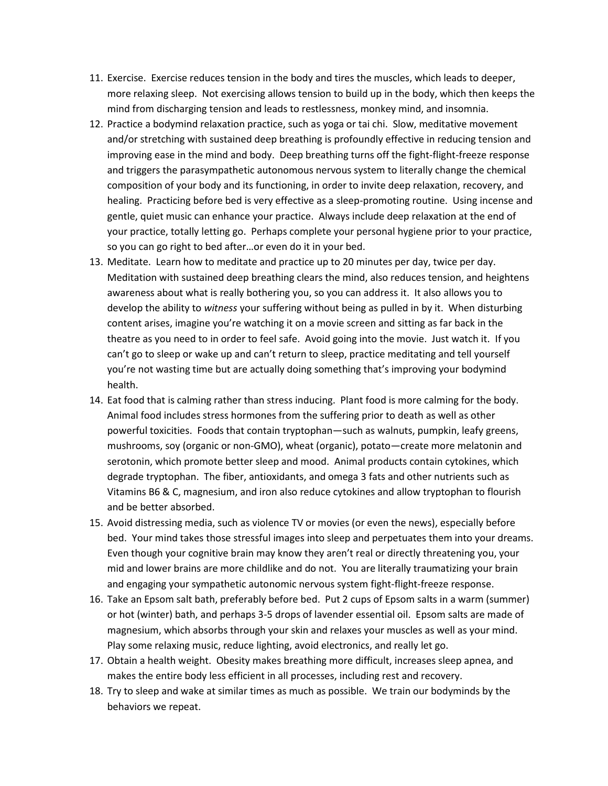- 11. Exercise. Exercise reduces tension in the body and tires the muscles, which leads to deeper, more relaxing sleep. Not exercising allows tension to build up in the body, which then keeps the mind from discharging tension and leads to restlessness, monkey mind, and insomnia.
- 12. Practice a bodymind relaxation practice, such as yoga or tai chi. Slow, meditative movement and/or stretching with sustained deep breathing is profoundly effective in reducing tension and improving ease in the mind and body. Deep breathing turns off the fight-flight-freeze response and triggers the parasympathetic autonomous nervous system to literally change the chemical composition of your body and its functioning, in order to invite deep relaxation, recovery, and healing. Practicing before bed is very effective as a sleep-promoting routine. Using incense and gentle, quiet music can enhance your practice. Always include deep relaxation at the end of your practice, totally letting go. Perhaps complete your personal hygiene prior to your practice, so you can go right to bed after…or even do it in your bed.
- 13. Meditate. Learn how to meditate and practice up to 20 minutes per day, twice per day. Meditation with sustained deep breathing clears the mind, also reduces tension, and heightens awareness about what is really bothering you, so you can address it. It also allows you to develop the ability to *witness* your suffering without being as pulled in by it. When disturbing content arises, imagine you're watching it on a movie screen and sitting as far back in the theatre as you need to in order to feel safe. Avoid going into the movie. Just watch it. If you can't go to sleep or wake up and can't return to sleep, practice meditating and tell yourself you're not wasting time but are actually doing something that's improving your bodymind health.
- 14. Eat food that is calming rather than stress inducing. Plant food is more calming for the body. Animal food includes stress hormones from the suffering prior to death as well as other powerful toxicities. Foods that contain tryptophan—such as walnuts, pumpkin, leafy greens, mushrooms, soy (organic or non-GMO), wheat (organic), potato—create more melatonin and serotonin, which promote better sleep and mood. Animal products contain cytokines, which degrade tryptophan. The fiber, antioxidants, and omega 3 fats and other nutrients such as Vitamins B6 & C, magnesium, and iron also reduce cytokines and allow tryptophan to flourish and be better absorbed.
- 15. Avoid distressing media, such as violence TV or movies (or even the news), especially before bed. Your mind takes those stressful images into sleep and perpetuates them into your dreams. Even though your cognitive brain may know they aren't real or directly threatening you, your mid and lower brains are more childlike and do not. You are literally traumatizing your brain and engaging your sympathetic autonomic nervous system fight-flight-freeze response.
- 16. Take an Epsom salt bath, preferably before bed. Put 2 cups of Epsom salts in a warm (summer) or hot (winter) bath, and perhaps 3-5 drops of lavender essential oil. Epsom salts are made of magnesium, which absorbs through your skin and relaxes your muscles as well as your mind. Play some relaxing music, reduce lighting, avoid electronics, and really let go.
- 17. Obtain a health weight. Obesity makes breathing more difficult, increases sleep apnea, and makes the entire body less efficient in all processes, including rest and recovery.
- 18. Try to sleep and wake at similar times as much as possible. We train our bodyminds by the behaviors we repeat.